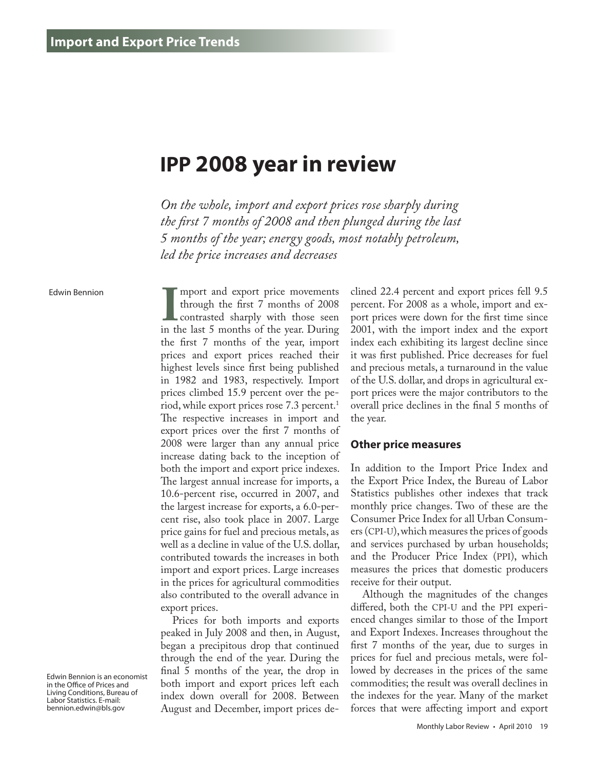# **IPP 2008 year in review**

*On the whole, import and export prices rose sharply during the first 7 months of 2008 and then plunged during the last 5 months of the year; energy goods, most notably petroleum, led the price increases and decreases*

Edwin Bennion

Import and export price movements<br>through the first 7 months of 2008<br>in the last 5 months of the year. During through the first 7 months of 2008 contrasted sharply with those seen the first 7 months of the year, import prices and export prices reached their highest levels since first being published in 1982 and 1983, respectively. Import prices climbed 15.9 percent over the period, while export prices rose 7.3 percent.<sup>1</sup> The respective increases in import and export prices over the first 7 months of 2008 were larger than any annual price increase dating back to the inception of both the import and export price indexes. The largest annual increase for imports, a 10.6-percent rise, occurred in 2007, and the largest increase for exports, a 6.0-percent rise, also took place in 2007. Large price gains for fuel and precious metals, as well as a decline in value of the U.S. dollar, contributed towards the increases in both import and export prices. Large increases in the prices for agricultural commodities also contributed to the overall advance in export prices.

mport and export price movements

Prices for both imports and exports peaked in July 2008 and then, in August, began a precipitous drop that continued through the end of the year. During the final 5 months of the year, the drop in both import and export prices left each index down overall for 2008. Between August and December, import prices declined 22.4 percent and export prices fell 9.5 percent. For 2008 as a whole, import and export prices were down for the first time since 2001, with the import index and the export index each exhibiting its largest decline since it was first published. Price decreases for fuel and precious metals, a turnaround in the value of the U.S. dollar, and drops in agricultural export prices were the major contributors to the overall price declines in the final 5 months of the year.

#### **Other price measures**

In addition to the Import Price Index and the Export Price Index, the Bureau of Labor Statistics publishes other indexes that track monthly price changes. Two of these are the Consumer Price Index for all Urban Consumers (CPI-U), which measures the prices of goods and services purchased by urban households; and the Producer Price Index (PPI), which measures the prices that domestic producers receive for their output.

Although the magnitudes of the changes differed, both the CPI-U and the PPI experienced changes similar to those of the Import and Export Indexes. Increases throughout the first 7 months of the year, due to surges in prices for fuel and precious metals, were followed by decreases in the prices of the same commodities; the result was overall declines in the indexes for the year. Many of the market forces that were affecting import and export

Edwin Bennion is an economist in the Office of Prices and Living Conditions, Bureau of Labor Statistics. E-mail: bennion.edwin@bls.gov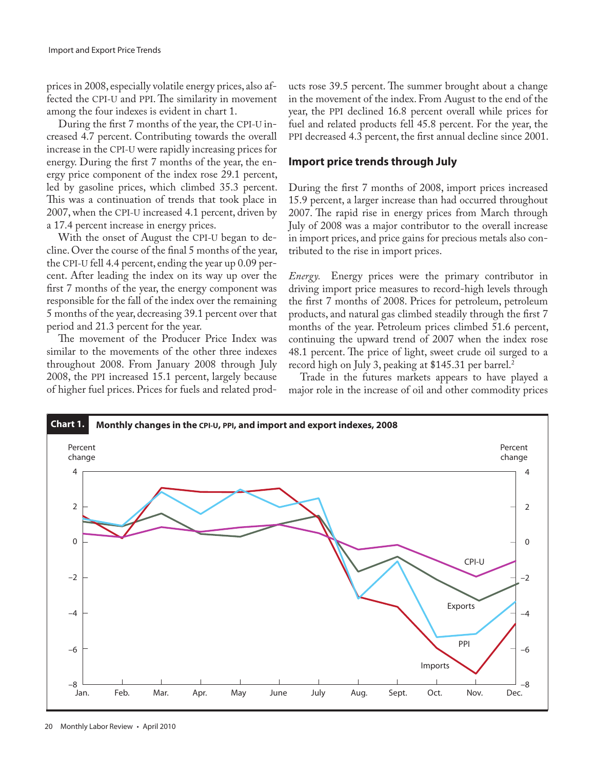prices in 2008, especially volatile energy prices, also affected the CPI-U and PPI. The similarity in movement among the four indexes is evident in chart 1.

During the first 7 months of the year, the CPI-U increased 4.7 percent. Contributing towards the overall increase in the CPI-U were rapidly increasing prices for energy. During the first 7 months of the year, the energy price component of the index rose 29.1 percent, led by gasoline prices, which climbed 35.3 percent. This was a continuation of trends that took place in 2007, when the CPI-U increased 4.1 percent, driven by a 17.4 percent increase in energy prices.

With the onset of August the CPI-U began to decline. Over the course of the final 5 months of the year, the CPI-U fell 4.4 percent, ending the year up 0.09 percent. After leading the index on its way up over the first 7 months of the year, the energy component was responsible for the fall of the index over the remaining 5 months of the year, decreasing 39.1 percent over that period and 21.3 percent for the year.

The movement of the Producer Price Index was similar to the movements of the other three indexes throughout 2008. From January 2008 through July 2008, the PPI increased 15.1 percent, largely because of higher fuel prices. Prices for fuels and related prod-

ucts rose 39.5 percent. The summer brought about a change in the movement of the index. From August to the end of the year, the PPI declined 16.8 percent overall while prices for fuel and related products fell 45.8 percent. For the year, the PPI decreased 4.3 percent, the first annual decline since 2001.

#### **Import price trends through July**

During the first 7 months of 2008, import prices increased 15.9 percent, a larger increase than had occurred throughout 2007. The rapid rise in energy prices from March through July of 2008 was a major contributor to the overall increase in import prices, and price gains for precious metals also contributed to the rise in import prices.

*Energy.* Energy prices were the primary contributor in driving import price measures to record-high levels through the first 7 months of 2008. Prices for petroleum, petroleum products, and natural gas climbed steadily through the first 7 months of the year. Petroleum prices climbed 51.6 percent, continuing the upward trend of 2007 when the index rose 48.1 percent. The price of light, sweet crude oil surged to a record high on July 3, peaking at \$145.31 per barrel.<sup>2</sup>

Trade in the futures markets appears to have played a major role in the increase of oil and other commodity prices

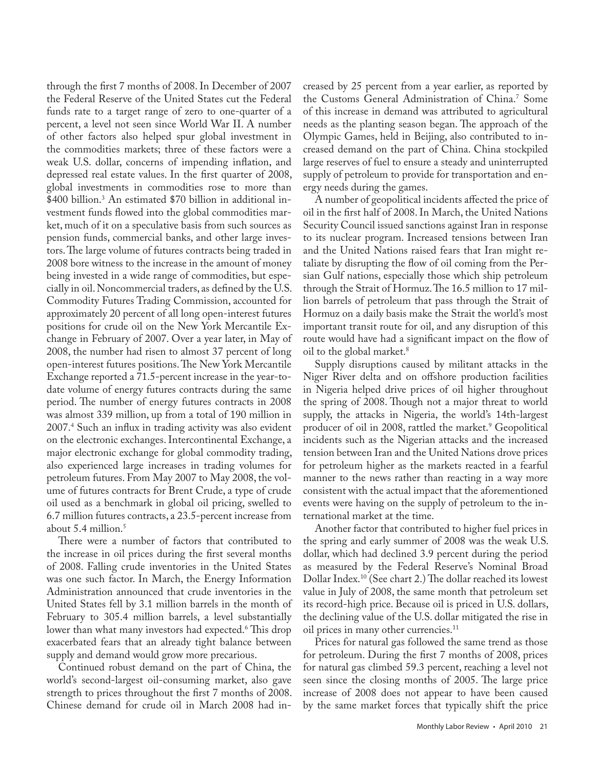through the first 7 months of 2008. In December of 2007 the Federal Reserve of the United States cut the Federal funds rate to a target range of zero to one-quarter of a percent, a level not seen since World War II. A number of other factors also helped spur global investment in the commodities markets; three of these factors were a weak U.S. dollar, concerns of impending inflation, and depressed real estate values. In the first quarter of 2008, global investments in commodities rose to more than \$400 billion.3 An estimated \$70 billion in additional investment funds flowed into the global commodities market, much of it on a speculative basis from such sources as pension funds, commercial banks, and other large investors. The large volume of futures contracts being traded in 2008 bore witness to the increase in the amount of money being invested in a wide range of commodities, but especially in oil. Noncommercial traders, as defined by the U.S. Commodity Futures Trading Commission, accounted for approximately 20 percent of all long open-interest futures positions for crude oil on the New York Mercantile Exchange in February of 2007. Over a year later, in May of 2008, the number had risen to almost 37 percent of long open-interest futures positions. The New York Mercantile Exchange reported a 71.5-percent increase in the year-todate volume of energy futures contracts during the same period. The number of energy futures contracts in 2008 was almost 339 million, up from a total of 190 million in 2007.4 Such an influx in trading activity was also evident on the electronic exchanges. Intercontinental Exchange, a major electronic exchange for global commodity trading, also experienced large increases in trading volumes for petroleum futures. From May 2007 to May 2008, the volume of futures contracts for Brent Crude, a type of crude oil used as a benchmark in global oil pricing, swelled to 6.7 million futures contracts, a 23.5-percent increase from about  $5.4$  million.<sup>5</sup>

There were a number of factors that contributed to the increase in oil prices during the first several months of 2008. Falling crude inventories in the United States was one such factor. In March, the Energy Information Administration announced that crude inventories in the United States fell by 3.1 million barrels in the month of February to 305.4 million barrels, a level substantially lower than what many investors had expected.<sup>6</sup> This drop exacerbated fears that an already tight balance between supply and demand would grow more precarious.

Continued robust demand on the part of China, the world's second-largest oil-consuming market, also gave strength to prices throughout the first 7 months of 2008. Chinese demand for crude oil in March 2008 had increased by 25 percent from a year earlier, as reported by the Customs General Administration of China.7 Some of this increase in demand was attributed to agricultural needs as the planting season began. The approach of the Olympic Games, held in Beijing, also contributed to increased demand on the part of China. China stockpiled large reserves of fuel to ensure a steady and uninterrupted supply of petroleum to provide for transportation and energy needs during the games.

A number of geopolitical incidents affected the price of oil in the first half of 2008. In March, the United Nations Security Council issued sanctions against Iran in response to its nuclear program. Increased tensions between Iran and the United Nations raised fears that Iran might retaliate by disrupting the flow of oil coming from the Persian Gulf nations, especially those which ship petroleum through the Strait of Hormuz. The 16.5 million to 17 million barrels of petroleum that pass through the Strait of Hormuz on a daily basis make the Strait the world's most important transit route for oil, and any disruption of this route would have had a significant impact on the flow of oil to the global market.<sup>8</sup>

Supply disruptions caused by militant attacks in the Niger River delta and on offshore production facilities in Nigeria helped drive prices of oil higher throughout the spring of 2008. Though not a major threat to world supply, the attacks in Nigeria, the world's 14th-largest producer of oil in 2008, rattled the market.<sup>9</sup> Geopolitical incidents such as the Nigerian attacks and the increased tension between Iran and the United Nations drove prices for petroleum higher as the markets reacted in a fearful manner to the news rather than reacting in a way more consistent with the actual impact that the aforementioned events were having on the supply of petroleum to the international market at the time.

Another factor that contributed to higher fuel prices in the spring and early summer of 2008 was the weak U.S. dollar, which had declined 3.9 percent during the period as measured by the Federal Reserve's Nominal Broad Dollar Index.10 (See chart 2.) The dollar reached its lowest value in July of 2008, the same month that petroleum set its record-high price. Because oil is priced in U.S. dollars, the declining value of the U.S. dollar mitigated the rise in oil prices in many other currencies.<sup>11</sup>

Prices for natural gas followed the same trend as those for petroleum. During the first 7 months of 2008, prices for natural gas climbed 59.3 percent, reaching a level not seen since the closing months of 2005. The large price increase of 2008 does not appear to have been caused by the same market forces that typically shift the price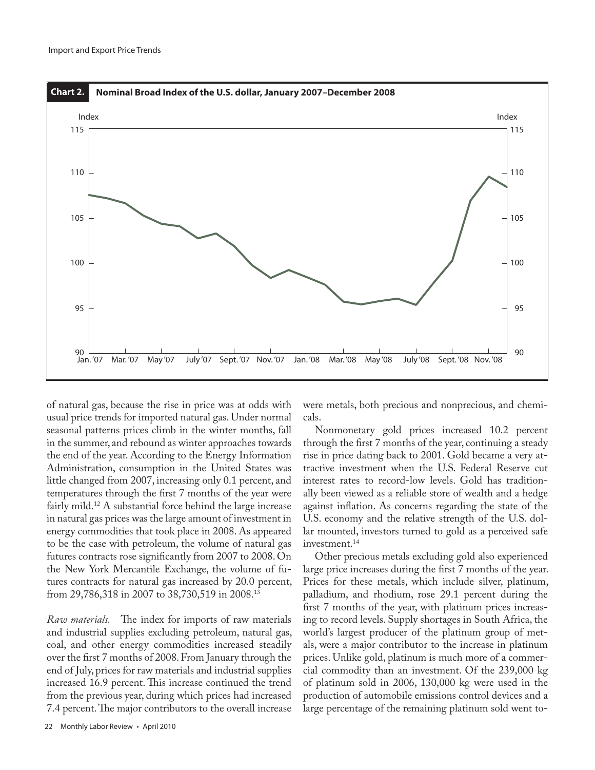

of natural gas, because the rise in price was at odds with usual price trends for imported natural gas. Under normal seasonal patterns prices climb in the winter months, fall in the summer, and rebound as winter approaches towards the end of the year. According to the Energy Information Administration, consumption in the United States was little changed from 2007, increasing only 0.1 percent, and temperatures through the first 7 months of the year were fairly mild.<sup>12</sup> A substantial force behind the large increase in natural gas prices was the large amount of investment in energy commodities that took place in 2008. As appeared to be the case with petroleum, the volume of natural gas futures contracts rose significantly from 2007 to 2008. On the New York Mercantile Exchange, the volume of futures contracts for natural gas increased by 20.0 percent, from 29,786,318 in 2007 to 38,730,519 in 2008.13

*Raw materials.* The index for imports of raw materials and industrial supplies excluding petroleum, natural gas, coal, and other energy commodities increased steadily over the first 7 months of 2008. From January through the end of July, prices for raw materials and industrial supplies increased 16.9 percent. This increase continued the trend from the previous year, during which prices had increased 7.4 percent. The major contributors to the overall increase

were metals, both precious and nonprecious, and chemicals.

Nonmonetary gold prices increased 10.2 percent through the first 7 months of the year, continuing a steady rise in price dating back to 2001. Gold became a very attractive investment when the U.S. Federal Reserve cut interest rates to record-low levels. Gold has traditionally been viewed as a reliable store of wealth and a hedge against inflation. As concerns regarding the state of the U.S. economy and the relative strength of the U.S. dollar mounted, investors turned to gold as a perceived safe investment.<sup>14</sup>

Other precious metals excluding gold also experienced large price increases during the first 7 months of the year. Prices for these metals, which include silver, platinum, palladium, and rhodium, rose 29.1 percent during the first 7 months of the year, with platinum prices increasing to record levels. Supply shortages in South Africa, the world's largest producer of the platinum group of metals, were a major contributor to the increase in platinum prices. Unlike gold, platinum is much more of a commercial commodity than an investment. Of the 239,000 kg of platinum sold in 2006, 130,000 kg were used in the production of automobile emissions control devices and a large percentage of the remaining platinum sold went to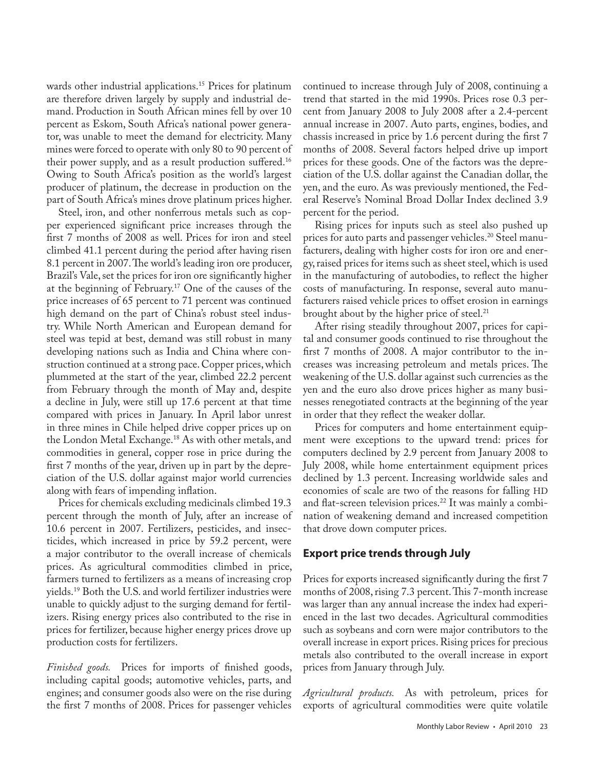wards other industrial applications.<sup>15</sup> Prices for platinum are therefore driven largely by supply and industrial demand. Production in South African mines fell by over 10 percent as Eskom, South Africa's national power generator, was unable to meet the demand for electricity. Many mines were forced to operate with only 80 to 90 percent of their power supply, and as a result production suffered.16 Owing to South Africa's position as the world's largest producer of platinum, the decrease in production on the part of South Africa's mines drove platinum prices higher.

Steel, iron, and other nonferrous metals such as copper experienced significant price increases through the first 7 months of 2008 as well. Prices for iron and steel climbed 41.1 percent during the period after having risen 8.1 percent in 2007. The world's leading iron ore producer, Brazil's Vale, set the prices for iron ore significantly higher at the beginning of February.17 One of the causes of the price increases of 65 percent to 71 percent was continued high demand on the part of China's robust steel industry. While North American and European demand for steel was tepid at best, demand was still robust in many developing nations such as India and China where construction continued at a strong pace. Copper prices, which plummeted at the start of the year, climbed 22.2 percent from February through the month of May and, despite a decline in July, were still up 17.6 percent at that time compared with prices in January. In April labor unrest in three mines in Chile helped drive copper prices up on the London Metal Exchange.18 As with other metals, and commodities in general, copper rose in price during the first 7 months of the year, driven up in part by the depreciation of the U.S. dollar against major world currencies along with fears of impending inflation.

Prices for chemicals excluding medicinals climbed 19.3 percent through the month of July, after an increase of 10.6 percent in 2007. Fertilizers, pesticides, and insecticides, which increased in price by 59.2 percent, were a major contributor to the overall increase of chemicals prices. As agricultural commodities climbed in price, farmers turned to fertilizers as a means of increasing crop yields.19 Both the U.S. and world fertilizer industries were unable to quickly adjust to the surging demand for fertilizers. Rising energy prices also contributed to the rise in prices for fertilizer, because higher energy prices drove up production costs for fertilizers.

*Finished goods.* Prices for imports of finished goods, including capital goods; automotive vehicles, parts, and engines; and consumer goods also were on the rise during the first 7 months of 2008. Prices for passenger vehicles

continued to increase through July of 2008, continuing a trend that started in the mid 1990s. Prices rose 0.3 percent from January 2008 to July 2008 after a 2.4-percent annual increase in 2007. Auto parts, engines, bodies, and chassis increased in price by 1.6 percent during the first 7 months of 2008. Several factors helped drive up import prices for these goods. One of the factors was the depreciation of the U.S. dollar against the Canadian dollar, the yen, and the euro. As was previously mentioned, the Federal Reserve's Nominal Broad Dollar Index declined 3.9 percent for the period.

Rising prices for inputs such as steel also pushed up prices for auto parts and passenger vehicles.<sup>20</sup> Steel manufacturers, dealing with higher costs for iron ore and energy, raised prices for items such as sheet steel, which is used in the manufacturing of autobodies, to reflect the higher costs of manufacturing. In response, several auto manufacturers raised vehicle prices to offset erosion in earnings brought about by the higher price of steel.<sup>21</sup>

After rising steadily throughout 2007, prices for capital and consumer goods continued to rise throughout the first 7 months of 2008. A major contributor to the increases was increasing petroleum and metals prices. The weakening of the U.S. dollar against such currencies as the yen and the euro also drove prices higher as many businesses renegotiated contracts at the beginning of the year in order that they reflect the weaker dollar.

Prices for computers and home entertainment equipment were exceptions to the upward trend: prices for computers declined by 2.9 percent from January 2008 to July 2008, while home entertainment equipment prices declined by 1.3 percent. Increasing worldwide sales and economies of scale are two of the reasons for falling HD and flat-screen television prices.<sup>22</sup> It was mainly a combination of weakening demand and increased competition that drove down computer prices.

## **Export price trends through July**

Prices for exports increased significantly during the first 7 months of 2008, rising 7.3 percent. This 7-month increase was larger than any annual increase the index had experienced in the last two decades. Agricultural commodities such as soybeans and corn were major contributors to the overall increase in export prices. Rising prices for precious metals also contributed to the overall increase in export prices from January through July.

*Agricultural products.* As with petroleum, prices for exports of agricultural commodities were quite volatile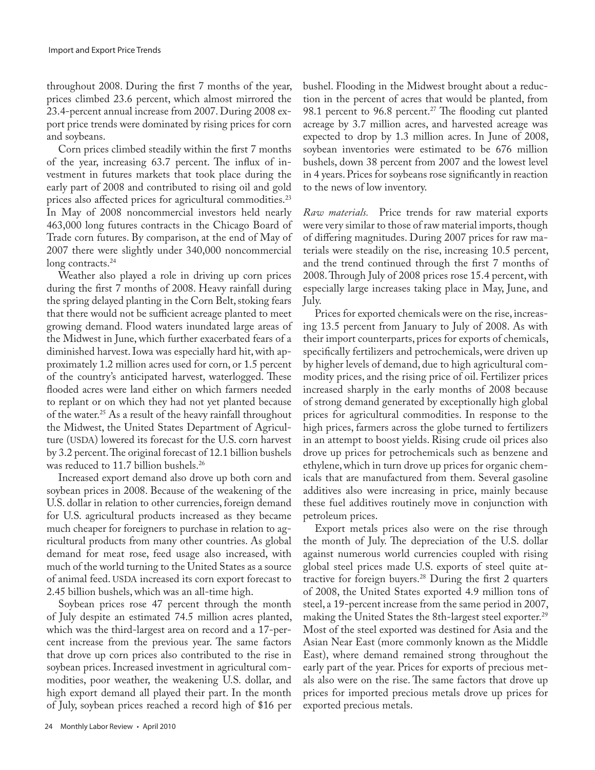throughout 2008. During the first 7 months of the year, prices climbed 23.6 percent, which almost mirrored the 23.4-percent annual increase from 2007. During 2008 export price trends were dominated by rising prices for corn and soybeans.

Corn prices climbed steadily within the first 7 months of the year, increasing 63.7 percent. The influx of investment in futures markets that took place during the early part of 2008 and contributed to rising oil and gold prices also affected prices for agricultural commodities.<sup>23</sup> In May of 2008 noncommercial investors held nearly 463,000 long futures contracts in the Chicago Board of Trade corn futures. By comparison, at the end of May of 2007 there were slightly under 340,000 noncommercial long contracts.<sup>24</sup>

Weather also played a role in driving up corn prices during the first 7 months of 2008. Heavy rainfall during the spring delayed planting in the Corn Belt, stoking fears that there would not be sufficient acreage planted to meet growing demand. Flood waters inundated large areas of the Midwest in June, which further exacerbated fears of a diminished harvest. Iowa was especially hard hit, with approximately 1.2 million acres used for corn, or 1.5 percent of the country's anticipated harvest, waterlogged. These flooded acres were land either on which farmers needed to replant or on which they had not yet planted because of the water.<sup>25</sup> As a result of the heavy rainfall throughout the Midwest, the United States Department of Agriculture (USDA) lowered its forecast for the U.S. corn harvest by 3.2 percent. The original forecast of 12.1 billion bushels was reduced to 11.7 billion bushels.<sup>26</sup>

Increased export demand also drove up both corn and soybean prices in 2008. Because of the weakening of the U.S. dollar in relation to other currencies, foreign demand for U.S. agricultural products increased as they became much cheaper for foreigners to purchase in relation to agricultural products from many other countries. As global demand for meat rose, feed usage also increased, with much of the world turning to the United States as a source of animal feed. USDA increased its corn export forecast to 2.45 billion bushels, which was an all-time high.

Soybean prices rose 47 percent through the month of July despite an estimated 74.5 million acres planted, which was the third-largest area on record and a 17-percent increase from the previous year. The same factors that drove up corn prices also contributed to the rise in soybean prices. Increased investment in agricultural commodities, poor weather, the weakening U.S. dollar, and high export demand all played their part. In the month of July, soybean prices reached a record high of \$16 per

24 Monthly Labor Review • April 2010

bushel. Flooding in the Midwest brought about a reduction in the percent of acres that would be planted, from 98.1 percent to 96.8 percent.<sup>27</sup> The flooding cut planted acreage by 3.7 million acres, and harvested acreage was expected to drop by 1.3 million acres. In June of 2008, soybean inventories were estimated to be 676 million bushels, down 38 percent from 2007 and the lowest level in 4 years. Prices for soybeans rose significantly in reaction to the news of low inventory.

*Raw materials.* Price trends for raw material exports were very similar to those of raw material imports, though of differing magnitudes. During 2007 prices for raw materials were steadily on the rise, increasing 10.5 percent, and the trend continued through the first 7 months of 2008. Through July of 2008 prices rose 15.4 percent, with especially large increases taking place in May, June, and July.

Prices for exported chemicals were on the rise, increasing 13.5 percent from January to July of 2008. As with their import counterparts, prices for exports of chemicals, specifically fertilizers and petrochemicals, were driven up by higher levels of demand, due to high agricultural commodity prices, and the rising price of oil. Fertilizer prices increased sharply in the early months of 2008 because of strong demand generated by exceptionally high global prices for agricultural commodities. In response to the high prices, farmers across the globe turned to fertilizers in an attempt to boost yields. Rising crude oil prices also drove up prices for petrochemicals such as benzene and ethylene, which in turn drove up prices for organic chemicals that are manufactured from them. Several gasoline additives also were increasing in price, mainly because these fuel additives routinely move in conjunction with petroleum prices.

Export metals prices also were on the rise through the month of July. The depreciation of the U.S. dollar against numerous world currencies coupled with rising global steel prices made U.S. exports of steel quite attractive for foreign buyers.28 During the first 2 quarters of 2008, the United States exported 4.9 million tons of steel, a 19-percent increase from the same period in 2007, making the United States the 8th-largest steel exporter.<sup>29</sup> Most of the steel exported was destined for Asia and the Asian Near East (more commonly known as the Middle East), where demand remained strong throughout the early part of the year. Prices for exports of precious metals also were on the rise. The same factors that drove up prices for imported precious metals drove up prices for exported precious metals.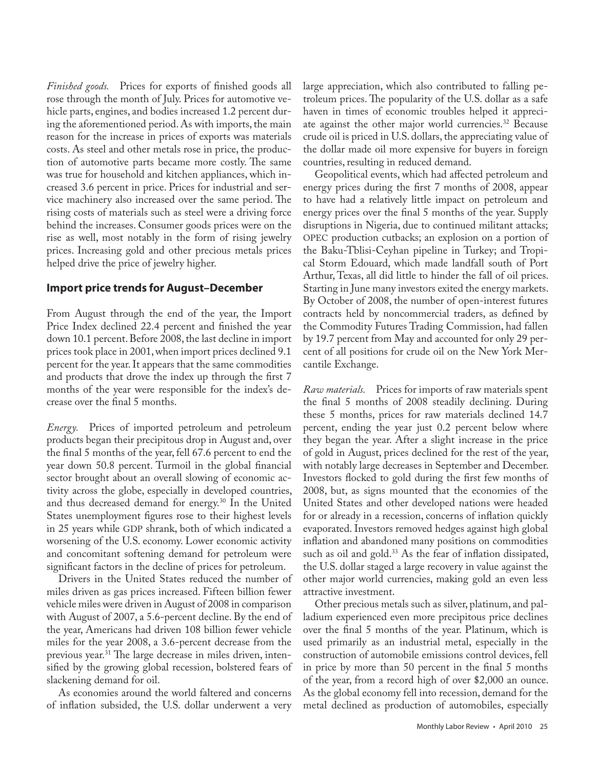*Finished goods.* Prices for exports of finished goods all rose through the month of July. Prices for automotive vehicle parts, engines, and bodies increased 1.2 percent during the aforementioned period. As with imports, the main reason for the increase in prices of exports was materials costs. As steel and other metals rose in price, the production of automotive parts became more costly. The same was true for household and kitchen appliances, which increased 3.6 percent in price. Prices for industrial and service machinery also increased over the same period. The rising costs of materials such as steel were a driving force behind the increases. Consumer goods prices were on the rise as well, most notably in the form of rising jewelry prices. Increasing gold and other precious metals prices helped drive the price of jewelry higher.

## **Import price trends for August–December**

From August through the end of the year, the Import Price Index declined 22.4 percent and finished the year down 10.1 percent. Before 2008, the last decline in import prices took place in 2001, when import prices declined 9.1 percent for the year. It appears that the same commodities and products that drove the index up through the first 7 months of the year were responsible for the index's decrease over the final 5 months.

*Energy.* Prices of imported petroleum and petroleum products began their precipitous drop in August and, over the final 5 months of the year, fell 67.6 percent to end the year down 50.8 percent. Turmoil in the global financial sector brought about an overall slowing of economic activity across the globe, especially in developed countries, and thus decreased demand for energy.<sup>30</sup> In the United States unemployment figures rose to their highest levels in 25 years while GDP shrank, both of which indicated a worsening of the U.S. economy. Lower economic activity and concomitant softening demand for petroleum were significant factors in the decline of prices for petroleum.

Drivers in the United States reduced the number of miles driven as gas prices increased. Fifteen billion fewer vehicle miles were driven in August of 2008 in comparison with August of 2007, a 5.6-percent decline. By the end of the year, Americans had driven 108 billion fewer vehicle miles for the year 2008, a 3.6-percent decrease from the previous year.<sup>31</sup> The large decrease in miles driven, intensified by the growing global recession, bolstered fears of slackening demand for oil.

As economies around the world faltered and concerns of inflation subsided, the U.S. dollar underwent a very large appreciation, which also contributed to falling petroleum prices. The popularity of the U.S. dollar as a safe haven in times of economic troubles helped it appreciate against the other major world currencies.32 Because crude oil is priced in U.S. dollars, the appreciating value of the dollar made oil more expensive for buyers in foreign countries, resulting in reduced demand.

Geopolitical events, which had affected petroleum and energy prices during the first 7 months of 2008, appear to have had a relatively little impact on petroleum and energy prices over the final 5 months of the year. Supply disruptions in Nigeria, due to continued militant attacks; OPEC production cutbacks; an explosion on a portion of the Baku-Tblisi-Ceyhan pipeline in Turkey; and Tropical Storm Edouard, which made landfall south of Port Arthur, Texas, all did little to hinder the fall of oil prices. Starting in June many investors exited the energy markets. By October of 2008, the number of open-interest futures contracts held by noncommercial traders, as defined by the Commodity Futures Trading Commission, had fallen by 19.7 percent from May and accounted for only 29 percent of all positions for crude oil on the New York Mercantile Exchange.

*Raw materials.* Prices for imports of raw materials spent the final 5 months of 2008 steadily declining. During these 5 months, prices for raw materials declined 14.7 percent, ending the year just 0.2 percent below where they began the year. After a slight increase in the price of gold in August, prices declined for the rest of the year, with notably large decreases in September and December. Investors flocked to gold during the first few months of 2008, but, as signs mounted that the economies of the United States and other developed nations were headed for or already in a recession, concerns of inflation quickly evaporated. Investors removed hedges against high global inflation and abandoned many positions on commodities such as oil and gold.<sup>33</sup> As the fear of inflation dissipated, the U.S. dollar staged a large recovery in value against the other major world currencies, making gold an even less attractive investment.

Other precious metals such as silver, platinum, and palladium experienced even more precipitous price declines over the final 5 months of the year. Platinum, which is used primarily as an industrial metal, especially in the construction of automobile emissions control devices, fell in price by more than 50 percent in the final 5 months of the year, from a record high of over \$2,000 an ounce. As the global economy fell into recession, demand for the metal declined as production of automobiles, especially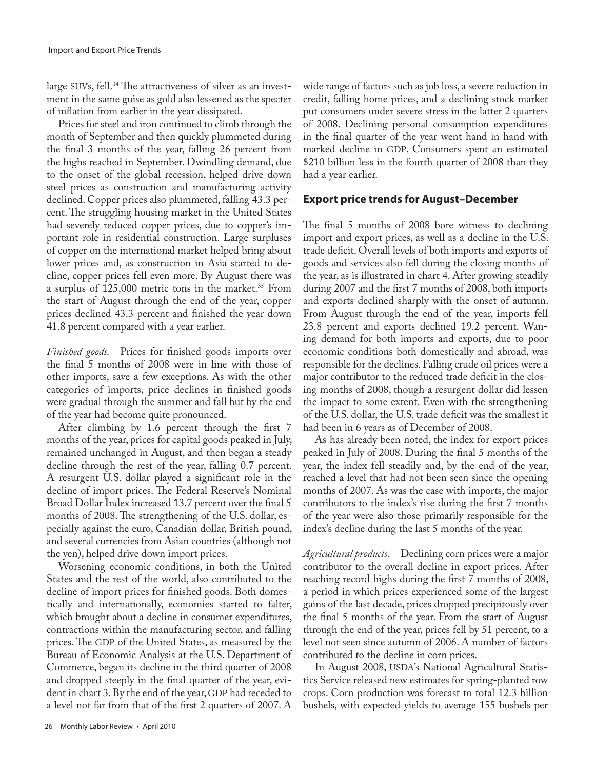large SUVs, fell.<sup>34</sup> The attractiveness of silver as an investment in the same guise as gold also lessened as the specter of inflation from earlier in the year dissipated.

Prices for steel and iron continued to climb through the month of September and then quickly plummeted during the final 3 months of the year, falling 26 percent from the highs reached in September. Dwindling demand, due to the onset of the global recession, helped drive down steel prices as construction and manufacturing activity declined. Copper prices also plummeted, falling 43.3 percent. The struggling housing market in the United States had severely reduced copper prices, due to copper's important role in residential construction. Large surpluses of copper on the international market helped bring about lower prices and, as construction in Asia started to decline, copper prices fell even more. By August there was a surplus of 125,000 metric tons in the market.<sup>35</sup> From the start of August through the end of the year, copper prices declined 43.3 percent and finished the year down 41.8 percent compared with a year earlier.

*Finished goods.* Prices for finished goods imports over the final 5 months of 2008 were in line with those of other imports, save a few exceptions. As with the other categories of imports, price declines in finished goods were gradual through the summer and fall but by the end of the year had become quite pronounced.

After climbing by 1.6 percent through the first 7 months of the year, prices for capital goods peaked in July, remained unchanged in August, and then began a steady decline through the rest of the year, falling 0.7 percent. A resurgent U.S. dollar played a significant role in the decline of import prices. The Federal Reserve's Nominal Broad Dollar Index increased 13.7 percent over the final 5 months of 2008. The strengthening of the U.S. dollar, especially against the euro, Canadian dollar, British pound, and several currencies from Asian countries (although not the yen), helped drive down import prices.

Worsening economic conditions, in both the United States and the rest of the world, also contributed to the decline of import prices for finished goods. Both domestically and internationally, economies started to falter, which brought about a decline in consumer expenditures, contractions within the manufacturing sector, and falling prices. The GDP of the United States, as measured by the Bureau of Economic Analysis at the U.S. Department of Commerce, began its decline in the third quarter of 2008 and dropped steeply in the final quarter of the year, evident in chart 3. By the end of the year, GDP had receded to a level not far from that of the first 2 quarters of 2007. A

wide range of factors such as job loss, a severe reduction in credit, falling home prices, and a declining stock market put consumers under severe stress in the latter 2 quarters of 2008. Declining personal consumption expenditures in the final quarter of the year went hand in hand with marked decline in GDP. Consumers spent an estimated \$210 billion less in the fourth quarter of 2008 than they had a year earlier.

## **Export price trends for August–December**

The final 5 months of 2008 bore witness to declining import and export prices, as well as a decline in the U.S. trade deficit. Overall levels of both imports and exports of goods and services also fell during the closing months of the year, as is illustrated in chart 4. After growing steadily during 2007 and the first 7 months of 2008, both imports and exports declined sharply with the onset of autumn. From August through the end of the year, imports fell 23.8 percent and exports declined 19.2 percent. Waning demand for both imports and exports, due to poor economic conditions both domestically and abroad, was responsible for the declines. Falling crude oil prices were a major contributor to the reduced trade deficit in the closing months of 2008, though a resurgent dollar did lessen the impact to some extent. Even with the strengthening of the U.S. dollar, the U.S. trade deficit was the smallest it had been in 6 years as of December of 2008.

As has already been noted, the index for export prices peaked in July of 2008. During the final 5 months of the year, the index fell steadily and, by the end of the year, reached a level that had not been seen since the opening months of 2007. As was the case with imports, the major contributors to the index's rise during the first 7 months of the year were also those primarily responsible for the index's decline during the last 5 months of the year.

*Agricultural products.* Declining corn prices were a major contributor to the overall decline in export prices. After reaching record highs during the first 7 months of 2008, a period in which prices experienced some of the largest gains of the last decade, prices dropped precipitously over the final 5 months of the year. From the start of August through the end of the year, prices fell by 51 percent, to a level not seen since autumn of 2006. A number of factors contributed to the decline in corn prices.

In August 2008, USDA's National Agricultural Statistics Service released new estimates for spring-planted row crops. Corn production was forecast to total 12.3 billion bushels, with expected yields to average 155 bushels per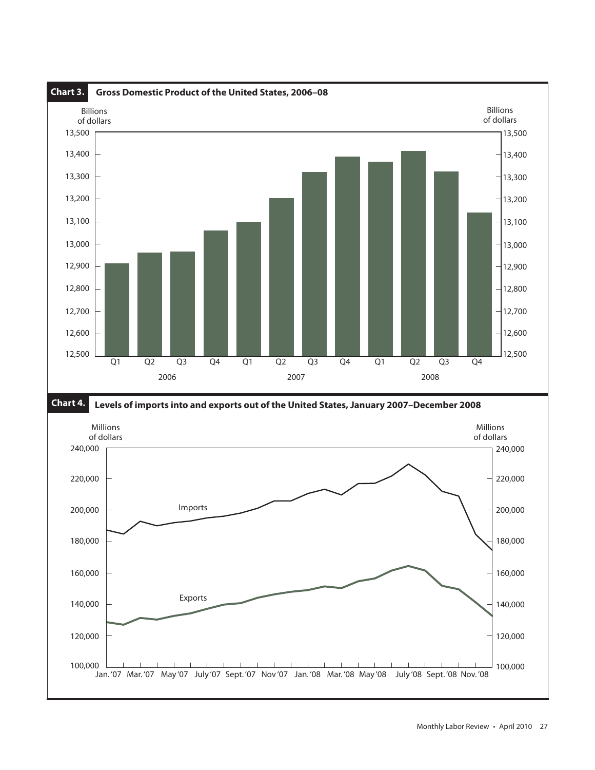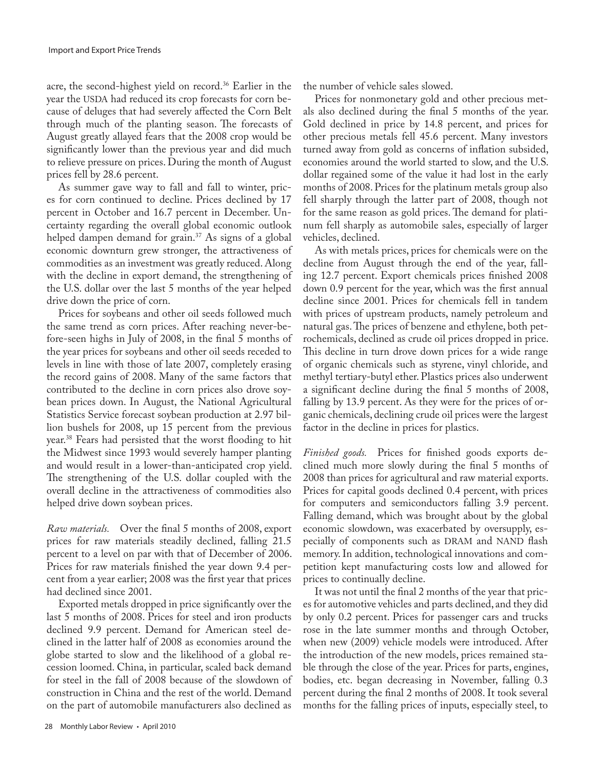acre, the second-highest yield on record.<sup>36</sup> Earlier in the year the USDA had reduced its crop forecasts for corn because of deluges that had severely affected the Corn Belt through much of the planting season. The forecasts of August greatly allayed fears that the 2008 crop would be significantly lower than the previous year and did much to relieve pressure on prices. During the month of August prices fell by 28.6 percent.

As summer gave way to fall and fall to winter, prices for corn continued to decline. Prices declined by 17 percent in October and 16.7 percent in December. Uncertainty regarding the overall global economic outlook helped dampen demand for grain.<sup>37</sup> As signs of a global economic downturn grew stronger, the attractiveness of commodities as an investment was greatly reduced. Along with the decline in export demand, the strengthening of the U.S. dollar over the last 5 months of the year helped drive down the price of corn.

Prices for soybeans and other oil seeds followed much the same trend as corn prices. After reaching never-before-seen highs in July of 2008, in the final 5 months of the year prices for soybeans and other oil seeds receded to levels in line with those of late 2007, completely erasing the record gains of 2008. Many of the same factors that contributed to the decline in corn prices also drove soybean prices down. In August, the National Agricultural Statistics Service forecast soybean production at 2.97 billion bushels for 2008, up 15 percent from the previous year.38 Fears had persisted that the worst flooding to hit the Midwest since 1993 would severely hamper planting and would result in a lower-than-anticipated crop yield. The strengthening of the U.S. dollar coupled with the overall decline in the attractiveness of commodities also helped drive down soybean prices.

*Raw materials.* Over the final 5 months of 2008, export prices for raw materials steadily declined, falling 21.5 percent to a level on par with that of December of 2006. Prices for raw materials finished the year down 9.4 percent from a year earlier; 2008 was the first year that prices had declined since 2001.

Exported metals dropped in price significantly over the last 5 months of 2008. Prices for steel and iron products declined 9.9 percent. Demand for American steel declined in the latter half of 2008 as economies around the globe started to slow and the likelihood of a global recession loomed. China, in particular, scaled back demand for steel in the fall of 2008 because of the slowdown of construction in China and the rest of the world. Demand on the part of automobile manufacturers also declined as

the number of vehicle sales slowed.

Prices for nonmonetary gold and other precious metals also declined during the final 5 months of the year. Gold declined in price by 14.8 percent, and prices for other precious metals fell 45.6 percent. Many investors turned away from gold as concerns of inflation subsided, economies around the world started to slow, and the U.S. dollar regained some of the value it had lost in the early months of 2008. Prices for the platinum metals group also fell sharply through the latter part of 2008, though not for the same reason as gold prices. The demand for platinum fell sharply as automobile sales, especially of larger vehicles, declined.

As with metals prices, prices for chemicals were on the decline from August through the end of the year, falling 12.7 percent. Export chemicals prices finished 2008 down 0.9 percent for the year, which was the first annual decline since 2001. Prices for chemicals fell in tandem with prices of upstream products, namely petroleum and natural gas. The prices of benzene and ethylene, both petrochemicals, declined as crude oil prices dropped in price. This decline in turn drove down prices for a wide range of organic chemicals such as styrene, vinyl chloride, and methyl tertiary-butyl ether. Plastics prices also underwent a significant decline during the final 5 months of 2008, falling by 13.9 percent. As they were for the prices of organic chemicals, declining crude oil prices were the largest factor in the decline in prices for plastics.

*Finished goods.* Prices for finished goods exports declined much more slowly during the final 5 months of 2008 than prices for agricultural and raw material exports. Prices for capital goods declined 0.4 percent, with prices for computers and semiconductors falling 3.9 percent. Falling demand, which was brought about by the global economic slowdown, was exacerbated by oversupply, especially of components such as DRAM and NAND flash memory. In addition, technological innovations and competition kept manufacturing costs low and allowed for prices to continually decline.

It was not until the final 2 months of the year that prices for automotive vehicles and parts declined, and they did by only 0.2 percent. Prices for passenger cars and trucks rose in the late summer months and through October, when new (2009) vehicle models were introduced. After the introduction of the new models, prices remained stable through the close of the year. Prices for parts, engines, bodies, etc. began decreasing in November, falling 0.3 percent during the final 2 months of 2008. It took several months for the falling prices of inputs, especially steel, to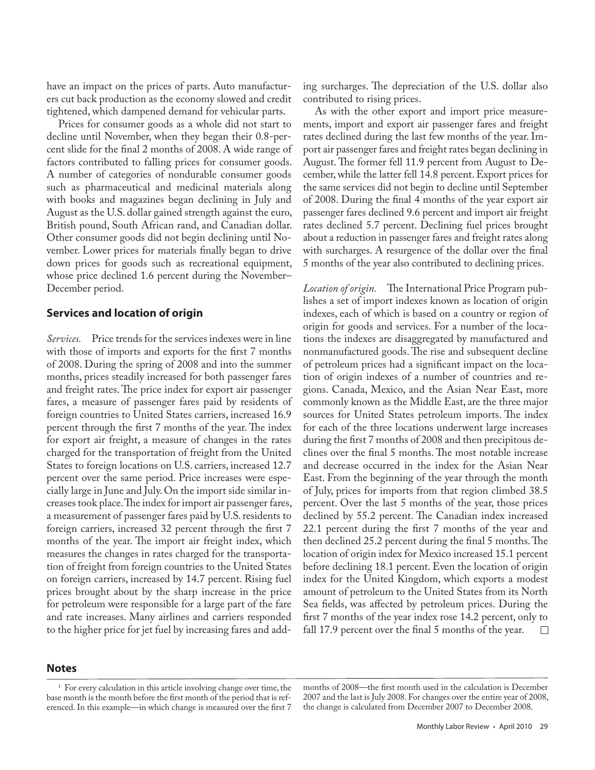have an impact on the prices of parts. Auto manufacturers cut back production as the economy slowed and credit tightened, which dampened demand for vehicular parts.

Prices for consumer goods as a whole did not start to decline until November, when they began their 0.8-percent slide for the final 2 months of 2008. A wide range of factors contributed to falling prices for consumer goods. A number of categories of nondurable consumer goods such as pharmaceutical and medicinal materials along with books and magazines began declining in July and August as the U.S. dollar gained strength against the euro, British pound, South African rand, and Canadian dollar. Other consumer goods did not begin declining until November. Lower prices for materials finally began to drive down prices for goods such as recreational equipment, whose price declined 1.6 percent during the November– December period.

#### **Services and location of origin**

*Services.* Price trends for the services indexes were in line with those of imports and exports for the first 7 months of 2008. During the spring of 2008 and into the summer months, prices steadily increased for both passenger fares and freight rates. The price index for export air passenger fares, a measure of passenger fares paid by residents of foreign countries to United States carriers, increased 16.9 percent through the first 7 months of the year. The index for export air freight, a measure of changes in the rates charged for the transportation of freight from the United States to foreign locations on U.S. carriers, increased 12.7 percent over the same period. Price increases were especially large in June and July. On the import side similar increases took place. The index for import air passenger fares, a measurement of passenger fares paid by U.S. residents to foreign carriers, increased 32 percent through the first 7 months of the year. The import air freight index, which measures the changes in rates charged for the transportation of freight from foreign countries to the United States on foreign carriers, increased by 14.7 percent. Rising fuel prices brought about by the sharp increase in the price for petroleum were responsible for a large part of the fare and rate increases. Many airlines and carriers responded to the higher price for jet fuel by increasing fares and adding surcharges. The depreciation of the U.S. dollar also contributed to rising prices.

As with the other export and import price measurements, import and export air passenger fares and freight rates declined during the last few months of the year. Import air passenger fares and freight rates began declining in August. The former fell 11.9 percent from August to December, while the latter fell 14.8 percent. Export prices for the same services did not begin to decline until September of 2008. During the final 4 months of the year export air passenger fares declined 9.6 percent and import air freight rates declined 5.7 percent. Declining fuel prices brought about a reduction in passenger fares and freight rates along with surcharges. A resurgence of the dollar over the final 5 months of the year also contributed to declining prices.

*Location of origin.* The International Price Program publishes a set of import indexes known as location of origin indexes, each of which is based on a country or region of origin for goods and services. For a number of the locations the indexes are disaggregated by manufactured and nonmanufactured goods. The rise and subsequent decline of petroleum prices had a significant impact on the location of origin indexes of a number of countries and regions. Canada, Mexico, and the Asian Near East, more commonly known as the Middle East, are the three major sources for United States petroleum imports. The index for each of the three locations underwent large increases during the first 7 months of 2008 and then precipitous declines over the final 5 months. The most notable increase and decrease occurred in the index for the Asian Near East. From the beginning of the year through the month of July, prices for imports from that region climbed 38.5 percent. Over the last 5 months of the year, those prices declined by 55.2 percent. The Canadian index increased 22.1 percent during the first 7 months of the year and then declined 25.2 percent during the final 5 months. The location of origin index for Mexico increased 15.1 percent before declining 18.1 percent. Even the location of origin index for the United Kingdom, which exports a modest amount of petroleum to the United States from its North Sea fields, was affected by petroleum prices. During the first 7 months of the year index rose 14.2 percent, only to fall 17.9 percent over the final 5 months of the year.  $\Box$ 

## **Notes**

<sup>&</sup>lt;sup>1</sup> For every calculation in this article involving change over time, the base month is the month before the first month of the period that is referenced. In this example—in which change is measured over the first 7

months of 2008—the first month used in the calculation is December 2007 and the last is July 2008. For changes over the entire year of 2008, the change is calculated from December 2007 to December 2008.